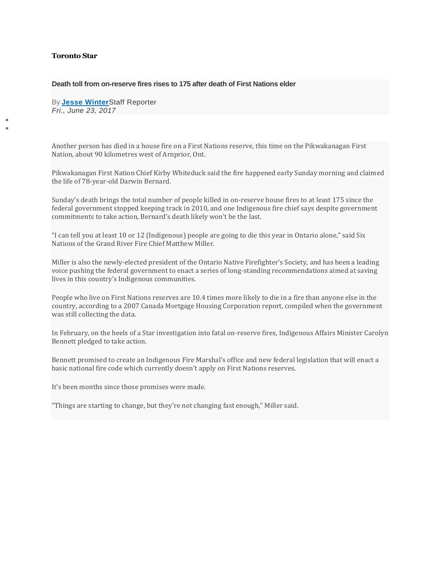## **Toronto Star**

• •

## **Death toll from on-reserve fires rises to 175 after death of First Nations elder**

By **[Jesse Winter](https://www.thestar.com/authors.winter_jesse.html)**Staff Reporter *Fri., June 23, 2017*

Another person has died in a house fire on a First Nations reserve, this time on the Pikwakanagan First Nation, about 90 kilometres west of Arnprior, Ont.

Pikwakanagan First Nation Chief Kirby Whiteduck said the fire happened early Sunday morning and claimed the life of 78-year-old Darwin Bernard.

Sunday's death brings the total number of people killed in on-reserve house fires to at least 175 since the federal government stopped keeping track in 2010, and one Indigenous fire chief says despite government commitments to take action, Bernard's death likely won't be the last.

"I can tell you at least 10 or 12 (Indigenous) people are going to die this year in Ontario alone," said Six Nations of the Grand River Fire Chief Matthew Miller.

Miller is also the newly-elected president of the Ontario Native Firefighter's Society, and has been a leading voice pushing the federal government to enact a series of long-standing recommendations aimed at saving lives in this country's Indigenous communities.

People who live on First Nations reserves are 10.4 times more likely to die in a fire than anyone else in the country, according to a 2007 Canada Mortgage Housing Corporation report, compiled when the government was still collecting the data.

In February, on the heels of a Star investigation into fatal on-reserve fires, Indigenous Affairs Minister Carolyn Bennett pledged to take action.

Bennett promised to create an Indigenous Fire Marshal's office and new federal legislation that will enact a basic national fire code which currently doesn't apply on First Nations reserves.

It's been months since those promises were made.

"Things are starting to change, but they're not changing fast enough," Miller said.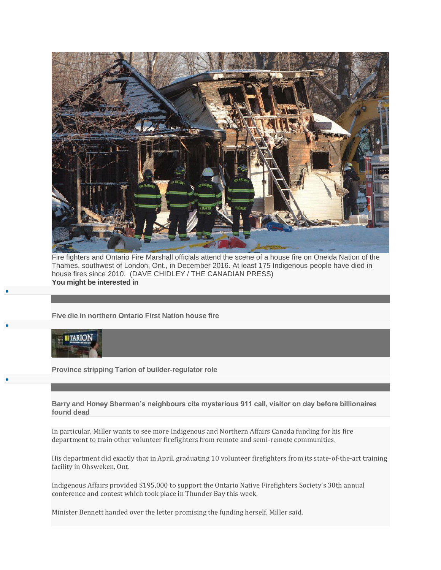

Fire fighters and Ontario Fire Marshall officials attend the scene of a house fire on Oneida Nation of the Thames, southwest of London, Ont., in December 2016. At least 175 Indigenous people have died in house fires since 2010. (DAVE CHIDLEY / THE CANADIAN PRESS) **You might be interested in**

**[Five die in northern Ontario First Nation house fire](https://www.thestar.com/news/canada/2019/05/02/five-die-in-northern-ontario-first-nation-house-fire.html?li_source=LI&li_medium=star_web_ymbii)**



•

•

•

**[Province stripping Tarion of builder-regulator role](https://www.thestar.com/news/investigations/2017/03/28/province-stripping-tarion-of-builder-regulator-role.html?li_source=LI&li_medium=star_web_ymbii)**

**[Barry and Honey Sherman's neighbours cite mysterious 911 call, visitor on day before billionaires](https://www.thestar.com/news/canada/2019/05/20/barry-and-honey-shermans-neighbours-cite-mysterious-911-call-visitor-on-day-before-billionaires-found-dead.html?li_source=LI&li_medium=star_web_ymbii)  [found dead](https://www.thestar.com/news/canada/2019/05/20/barry-and-honey-shermans-neighbours-cite-mysterious-911-call-visitor-on-day-before-billionaires-found-dead.html?li_source=LI&li_medium=star_web_ymbii)**

In particular, Miller wants to see more Indigenous and Northern Affairs Canada funding for his fire department to train other volunteer firefighters from remote and semi-remote communities.

His department did exactly that in April, graduating 10 volunteer firefighters from its state-of-the-art training facility in Ohsweken, Ont.

Indigenous Affairs provided \$195,000 to support the Ontario Native Firefighters Society's 30th annual conference and contest which took place in Thunder Bay this week.

Minister Bennett handed over the letter promising the funding herself, Miller said.